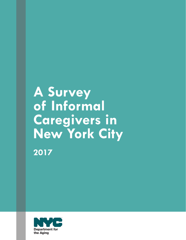# **A Survey of Informal Caregivers in New York City**

**2017**

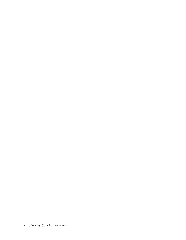Illustrations by Caty Bartholomew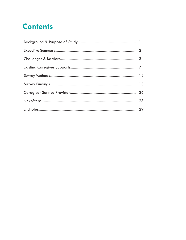## **Contents**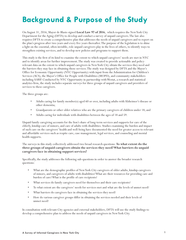## **Background & Purpose of the Study**

On August 31, 2016, Mayor de Blasio signed **Local Law 97 of 2016**, which requires the New York City Department for the Aging (DFTA) to develop and conduct a survey of unpaid caregivers. The law also requires DFTA to create a comprehensive plan that addresses the needs of unpaid caregivers and to report on the plan's progress after two years and every five years thereafter. The purpose of the legislation is to shine a light on the essential, often invisible, role unpaid caregivers play in the lives of others, to identify ways to strengthen existing services, and to develop new policies and programs to support them.

This study is the first of its kind to examine the extent to which unpaid caregivers' needs are met in NYC and to identify areas for further improvement. The study was created to provide actionable and policyrelevant data on the extent to which unpaid caregivers in New York City obtain the services they need and the barriers they may face in obtaining those services. The study was designed by DFTA and the Mayor's Office for Economic Opportunity (NYC Opportunity) with input from the Administration for Children's Services (ACS), the Mayor's Office for People with Disabilities (MOPD), and community stakeholders including AARP. Conducted by NYC Opportunity in partnership with Westat, a research and statistical analytics firm, the study includes separate surveys for three groups of unpaid caregivers and providers of services to these caregivers.

The three groups are:

- Adults caring for family member(s) aged 60 or over, including adults with Alzheimer's disease or other dementia;
- Grandparents or other older relatives who are the primary caregivers of children under 18; and
- Adults caring for individuals with disabilities between the ages of 18 and 59.

Unpaid family caregiving accounts for the lion's share of long-term services and supports for care of the elderly, kinship care of minors, and care of adults with disabilities. Studies examining the burden and impact of such care on the caregivers' health and well-being have documented the need for greater access to relevant and affordable services such as respite care, case management, legal services, and counseling and mental health supports.

#### The surveys in this study collectively addressed two broad research questions: **To what extent do the three groups of unpaid caregivers obtain the services they need? What barriers do unpaid caregivers face in obtaining support services?**

Specifically, the study addresses the following sub-questions in order to answer the broader research questions:

- What are the demographic profiles of New York City caregivers of older adults, kinship caregivers of minors, and caregivers of adults with disabilities? What are their resources for providing care and burden of care? What is the profile of care recipients?
- What services do family caregivers need for themselves and their care recipients?
- To what extent are the caregivers' needs for services met and what are the levels of unmet need?
- What barriers do caregivers face in obtaining the services they need?
- How do various caregiver groups differ in obtaining the services needed and their levels of unmet need?

In consultation with relevant City agencies and external stakeholders, DFTA will use the study findings to develop a comprehensive plan to address the needs of unpaid caregivers in New York City.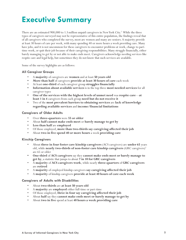## **Executive Summary**

There are an estimated 900,000 to 1.3 million unpaid caregivers in New York City.<sup>2</sup> While the three types of caregivers surveyed may not be representative of this entire population, the findings reveal that of all caregivers who completed the survey, most are women and many are seniors. A majority provide at least 30 hours of care per week, with many spending 40 or more hours a week providing care. Many have jobs, and it is not uncommon for these caregivers to encounter problems at work, change to parttime work, or quit their job because of their caregiving responsibilities. Many struggle financially, either barely managing to get by or not able to make ends meet. Caregivers acknowledge needing services like respite care and legal help, but sometimes they do not know that such services are available.

Some of the survey highlights are as follows:

#### **All Caregiver Groups**

- A **majority** of caregivers are **women** and at least **50 years old**
- **• More than half** of caregivers **provide at least 30 hours of care** each week
- At least **one-third** of each caregiver group **struggles financially**
- **• Information about available services** is in the top three **most needed services** for all caregiver types
- **• One of the services with the highest levels of unmet need** was **respite care**—**at least 1 in 4** caregivers from each group **need but do not receive it**
- Two of the **most prevalent barriers to obtaining services** are **lack of knowledge regarding available services** and **income/financial limitations**

#### **Caregivers of Older Adults**

- Over **three-quarters** were **55 or older**
- About **half cannot make ends meet** or **barely manage to get by**
- **• Less than half** are **employed**
- Of those employed, **more than two-thirds say caregiving affected their job**
- About **two in five spend 40 or more hours** a week **providing care**

#### **Kinship Caregivers**

- About **three in four foster care kinship caregivers** (ACS caregivers) are **under 65** years old, while **nearly two-thirds of non-foster care kinship caregivers** (GRC caregivers)<sup>3</sup> are 65 or older
- **• One-third** of **ACS caregivers** say they **cannot make ends meet or barely manage to get by**, a statistic that jumps to about **7 in 10 for GRC caregivers**
- A **majority** of **ACS caregivers work**, while nearly **three-quarters** of **GRC caregivers** are **retired**
- A **majority** of employed kinship caregivers **say caregiving affected their job**
- A **majority** of kinship caregivers **provide at least 40 hours of care each week**

#### **Caregivers of Adults with Disabilities**

- About **two-thirds** are **at least 50 years old**
- A **majority** are **employed** either full-time or part-time
- Of those employed, **three in four say caregiving affected their job**
- About **half** say they **cannot make ends meet or barely manage to get by**
- About **two in five** spend at least **40 hours a week providing care**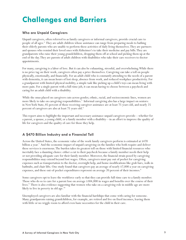## **Challenges and Barriers**

### **Who are Unpaid Caregivers**

Unpaid caregivers, often referred to as family caregivers or informal caregivers, provide crucial care to people of all ages.<sup>4</sup> They are adult children whose assistance can range from preparing meals to bathing their elderly parents who are unable to perform these activities of daily living themselves. They are partners and spouses who remind their loved ones with Alzheimer's to take their medicine and pay bills. They are grandparents who raise their young grandchildren, dropping them off at school and picking them up at the end of the day. They are parents of adult children with disabilities who take their care receivers to doctor appointments.

For many, caregiving is a labor of love. But it can also be exhausting, stressful, and overwhelming. While there is no price tag on their work, caregivers often pay a price themselves. Caregiving can take a toll on people physically, emotionally, and financially. For an adult child who is constantly attending to the needs of a parent with dementia, it can mean hours of lost sleep, absence from work, and reduced workplace productivity. For a grandparent with limited physical mobility, a simple task like picking up a child's toys can mean living with more pain. For a single parent with a full-time job, it can mean having to choose between a paycheck and caring for an adult child with a disability.

While the onus placed on caregivers cuts across gender, ethnic, racial, and socioeconomic lines, women are more likely to take on caregiving responsibilities.<sup>5</sup> Informal caregiving also has a large impact on seniors: in New York State, 85 percent of those receiving caregiver assistance are at least 75 years old, and nearly 25 percent of caregivers are also at least 75 years old.<sup>6</sup>

This report aims to highlight the important and necessary assistance unpaid caregivers provide—whether for a parent, a spouse, a young child, or a family member with a disability—in an effort to improve the quality of life for caregivers and the quality of care for those they help.

### **A \$470 Billion Industry and a Financial Toll**

Across the United States, the economic value of the work family caregivers perform is estimated at \$470 billion a year.<sup>7</sup> And the economic impact of unpaid caregiving on the families who both require and deliver these services is enormous. The burden takes its greatest toll on those with limited financial resources who inevitably face a daunting choice: either a cut to their paycheck because a family member needs their help or not providing adequate care for their family member. Moreover, the financial strain posed by caregiving responsibilities may extend beyond lost wages. Often, caregivers must pay out of pocket for caregiving expenses such as transportation to the doctor, overnight help, and home modifications like grab bars, walk-in bathtubs, and chair lifts. One study found that caregivers pay an average of nearly \$7,000 a year on caregiving expenses, and these out-of-pocket expenditures represent on average 20 percent of their incomes.<sup>8</sup>

Some caregivers opt to leave the workforce early so that they can provide full-time care to a family member. Those who do so to care for a parent lose on average \$304,000 in wages and benefits over the course of their lives.<sup>9</sup> There is also evidence suggesting that women who take on a caregiving role in middle age are more likely to live in poverty in old age.<sup>10</sup>

Unemployed caregivers are also familiar with the financial hardships that come with caring for someone. Many grandparents raising grandchildren, for example, are retired and live on fixed incomes, leaving them with little or no wiggle room to afford even basic necessities for the child in their care.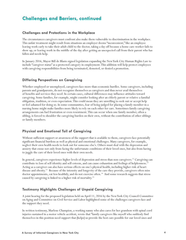## **Challenges and Barriers, continued**

#### **Challenges and Protections in the Workplace**

The circumstances caregivers must confront also make them vulnerable to discrimination in the workplace. This unfair treatment might result from situations an employer deems "inconvenient," like an employee leaving work early to take their adult child to the doctor, taking a day off because a home care worker fails to show up, or leaving work in the middle of the day after getting an unexpected call from their parent who has fallen and needs help.

In January 2016, Mayor Bill de Blasio signed legislation expanding the New York City Human Rights Law to include "caregiver status" as a protected category in employment. This addition will help protect employees with caregiving responsibilities from being terminated, demoted, or denied a promotion.

#### **Differing Perspectives on Caregiving**

Whether employed or unemployed, caregivers face more than economic hurdles. Some caregivers, including parents and grandparents, do not recognize themselves as caregivers and thus never avail themselves of benefits and services they need. In certain cases, cultural differences may influence attitudes toward caregiving. Some families, for example, might consider looking after an elderly parent or relative a familial obligation, tradition, or even expectation. This could mean they are unwilling to seek out or accept help or feel ashamed for doing so. In some communities, fear of being judged for placing a family member in a nursing home might make families more likely to rely on each other for care. Sometimes family caregiving arrangements can fuel frustration or even resentment. This can occur when one family member, often a sibling, is forced to shoulder the caregiving burden on their own, without the contribution of other siblings or family members.

#### **Physical and Emotional Toll of Caregiving**

Without sufficient support or awareness of the support that is available to them, caregivers face potentially significant financial burdens as well as physical and emotional challenges. Many caregivers, for example, neglect their own health needs to look out for someone else's. Others must deal with the depression and anxiety that ensue not only from facing the unfortunate conditions of their loved ones, but also from having to juggle the care of their loved ones with their own needs.

In general, caregivers experience higher levels of depression and stress than non-caregivers.<sup>11</sup> Caregiving can contribute to loss of self-identity and self-esteem, and can cause exhaustion and feelings of helplessness.<sup>12</sup> Acting as a caregiver can also have serious effects on one's physical health, including higher risk of heart disease and obesity.<sup>13</sup> Because of the intensity and longevity of the care they provide, caregivers often miss doctor appointments, eat less healthily, and do not exercise often.<sup>14</sup> And some research suggests that stress caused by caregiving is linked to a higher risk of mortality.15

#### **Testimony Highlights Challenges of Unpaid Caregiving**

A joint hearing for the proposed legislation held on April 11, 2016 by the New York City Council Committee on Aging and Committee on Civil Service and Labor highlighted some of the challenges caregivers face and the support they need.

In written testimony, Marlene Champion, a working nanny who also cares for her grandson with spinal cord injuries sustained in a motor vehicle accident, wrote that "family caregivers like myself who suddenly find themselves in this position need support that [helps] us provide the best care possible for our loved ones and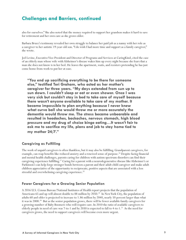## **Challenges and Barriers, continued**

also for ourselves." She also noted that the money required to support her grandson makes it hard to save for retirement and her own care as she grows older.

Barbara Bruce's testimony revealed her own struggle to balance her paid job as a nanny with her role as a caregiver to her autistic 19-year-old son. "I do wish I had more time and support as a family caregiver," she wrote.

Jed Levine, Executive Vice President and Director of Programs and Services at CaringKind, cited the case of an elderly man whose wife with Alzheimer's disease wakes him up every night because she fears that a man she does not know is in her bed. He leaves the apartment, waits, and reenters pretending he has just come home from work to put her at ease.

**"You end up sacrificing everything to be there for someone else," testified Teri Graham, who acted as her mother's caregiver for three years. "My days extended from sun up to sun down. I couldn't sleep or eat or even shower. Once I was very sick but couldn't stay in bed to take care of myself because there wasn't anyone available to take care of my mother. It became impossible to plan anything because I never knew what curve ball she would throw me or more accurately the dementia would throw me. The stress became unbearable and resulted in headaches, backaches, nervous stomach, high blood pressure and my drug of choice binge eating…It wasn't fair to ask me to sacrifice my life, plans and job to stay home tied to my mother 24/7."** 

#### **Caregiving as Fulfilling**

The work of unpaid caregivers is often thankless, but it may also be fulfilling. Grandparent caregivers, for example, can reap benefits like reduced anxiety and a renewed sense of purpose.16 Despite facing financial and mental health challenges, parents caring for children with autism spectrum disorders can find their caregiving experience fulfilling.17 Caring for a parent with a neurodegenerative disease like Alzheimer's or Parkinson's can help forge stronger bonds between a parent and their adult child caregiver and make adult children appreciative of the opportunity to reciprocate, positive aspects that are associated with a less stressful and overwhelming caregiving experience.<sup>18</sup>

#### **Fewer Caregivers for a Growing Senior Population**

A 2016 U.S. Census Bureau/National Institutes of Health report projects that the population of Americans 65 and up will almost double to 88 million by 2050.<sup>19</sup> In New York City, the population of adults 60 and older is projected to increase to 1.86 million by 2040, nearly 50 percent larger than what it was in 2000.<sup>20</sup> But as the senior population grows, there will be fewer available family caregivers for a growing number of Baby Boomers who will require care. In 2010 the ratio of available caregivers to elderly people in need of care was 7-to-1 and by 2030 is expected to fall to 4-to-1.<sup>21</sup> As the need for caregivers grows, the need to support caregivers will become even more urgent.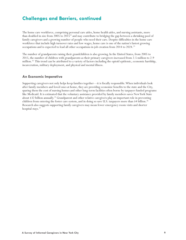## **Challenges and Barriers, continued**

The home care workforce, comprising personal care aides, home health aides, and nursing assistants, more than doubled in size from 2005 to 2015<sup>22</sup> and may contribute to bridging the gap between a shrinking pool of family caregivers and a growing number of people who need their care. Despite difficulties in the home care workforce that include high turnover rates and low wages, home care is one of the nation's fastest growing occupations and is expected to lead all other occupations in job creation from 2014 to 2024.<sup>23</sup>

The number of grandparents raising their grandchildren is also growing. In the United States, from 2005 to 2015, the number of children with grandparents as their primary caregivers increased from 2.5 million to 2.9 million.<sup>24</sup> This trend can be attributed to a variety of factors including the opioid epidemic, economic hardship, incarceration, military deployment, and physical and mental illness.

#### **An Economic Imperative**

Supporting caregivers not only helps keep families together—it is fiscally responsible. When individuals look after family members and loved ones at home, they are providing economic benefits to the state and the City, sparing them the cost of nursing homes and other long-term facilities often borne by taxpayer-funded programs like Medicaid. It is estimated that the voluntary assistance provided by family members saves New York State about \$32 billion annually.<sup>25</sup> Grandparent and other relative caregivers play an important role in preventing children from entering the foster care system, and in doing so save U.S. taxpayers more than \$4 billion.<sup>26</sup> Research also suggests supporting family caregivers may mean fewer emergency room visits and shorter hospital stays.<sup>27</sup>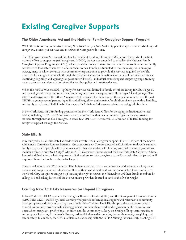## **Existing Caregiver Supports**

### **The Older Americans Act and the National Family Caregiver Support Program**

While there is no comprehensive Federal, New York State, or New York City plan to support the needs of unpaid caregivers, a variety of services and resources for caregivers do exist.

The Older Americans Act, signed into law by President Lyndon Johnson in 1965, sowed the seeds of the first national effort to support unpaid caregivers. In 2000, the Act was amended to establish the National Family Caregiver Support Program (NFCSP), which provides money to states for services that make it easier for family caregivers to look after their loved ones in their homes. Funding is funneled to local Area Agencies on Aging (AAA), many of which contract with community organizations to provide the services required by law. The resources for caregivers available through the program include information about available services, assistance identifying eligibility and applying for government benefits, individual counseling and support groups, training, respite care, and supplemental services like health supplies and assistive devices.

When the NFCSP was enacted, eligibility for services was limited to family members caring for adults ages 60 and up and grandparents and older relatives acting as primary caregivers of children ages 18 and younger. The 2006 reauthorization of the Older Americans Act expanded the definition of those who may be served through NFCSP to younger grandparents (ages 55 and older), older adults caring for children of any age with a disability, and family caregivers of individuals of any age with Alzheimer's disease or related neurological disorders.

In New York State, NFCSP funding granted to the New York State Office for the Aging is distributed to local AAAs, including DFTA. DFTA in turn currently contracts with nine community organizations to provide services throughout the five boroughs. In Fiscal Year 2017, DFTA received \$3.5 million of federal funding for caregiver support through the NFCSP.

### **State Efforts**

In recent years, New York State has made other investments in caregiver support. In 2015, as part of the State's Alzheimer's Caregiver Support Initiative, Governor Andrew Cuomo allocated \$67.5 million to directly support family caregivers of people with Alzheimer's and other dementias, with funding awarded to nine organizations, including three in New York City.28 Also in 2015, Governor Cuomo signed the New York State Caregiver Advise, Record and Enable Act, which requires hospital workers to train caregivers to perform tasks that the patient will require at home before he or she is discharged.

The statewide initiative NY Connects offers information and assistance on medical and nonmedical long-term services and supports to individuals regardless of their age, disability, diagnosis, income level, or insurance. In New York City, caregivers can get help locating the right resources for themselves and their family members by calling 311 and asking for one of the NY Connects providers located in each of the five boroughs.

### **Existing New York City Resources for Unpaid Caregivers**

In New York City, DFTA operates the Caregiver Resource Center (CRC) and the Grandparent Resource Center (GRC). The CRC is staffed by social workers who provide informational support and referrals to communitybased programs and services to caregivers of older New Yorkers. The CRC also provides case consultations to assist community professionals seeking guidance on their client work and engages in public education and outreach to caregivers, professionals, seniors, and the community at large on a range of long-term care issues and supports including Alzheimer's disease, residential alternatives, nursing home placement, caregiving, and senior safety. In addition, the CRC maintains a relationship with the NYPD Missing Persons Unit, enabling CRC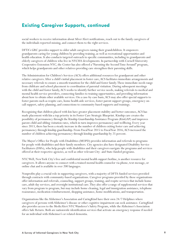## **Existing Caregiver Supports, continued**

social workers to receive information about Silver Alert notifications, reach out to the family caregivers of the individuals reported missing, and connect them to the right services.

DFTA's GRC provides support to older adult caregivers raising their grandchildren. It empowers grandparents caring for young children by providing training, as well as recreational opportunities and health education. It also conducts targeted outreach to specific communities, including to grandparents and elderly caregivers of children who live in NYCHA developments. In partnership with Cornell University Cooperative Extension NYC, the Center has also offered a "Parenting the Second Time Around" program, which helps grandparents and other relatives providing care strengthen their parenting skills.

The Administration for Children's Services (ACS) offers additional resources for grandparent and other relative caregivers. After a child's initial placement in foster care, ACS facilitates immediate arrangements and necessary referrals to ensure a smooth transition for the child and foster family. These immediate needs range from childcare and school placement to coordination of parental visitation. During subsequent meetings with the child and foster family, ACS works to identify further service needs, making referrals to medical and mental health service providers, connecting families to training opportunities, and providing information about how to obtain other available services. On a case-by-case basis, ACS may also offer special supports to foster parents such as respite care, home health aide services, foster parent support groups, emergency oncall support, safety planning, and connections to community-based supports and trainings.

Recognizing that children placed with kin have greater placement stability and better outcomes, ACS has made placement with kin a top priority in its Foster Care Strategic Blueprint. Kinship care creates the possibility of permanency through the Kinship Guardianship Assistance Program (KinGAP) and improves parent-child and sibling visitation rates, which in turn improves permanency and wellbeing. Every year since 2013, there has been a steady increase in the number of children exiting foster care and achieving permanency through kinship guardianship. From Fiscal Year 2015 to Fiscal Year 2016, ACS increased the number of children achieving permanency through kinship guardianship by 25 percent.

The Mayor's Office for People with Disabilities (MOPD) provides information and referrals to programs for people with disabilities and their family members. City agencies also have designated Disability Service Facilitators (DSFs), who help people with disabilities and their caregivers navigate the programs and services offered at their respective agencies, as well as other relevant City- and State-funded programs.

NYC Well, New York City's free and confidential mental health support hotline, is another resource for caregivers. It allows anyone to connect with a trained mental health counselor via phone, text message, or online chat and is available in over 200 languages.

Nonprofits play a crucial role in supporting caregivers, with a majority of DFTA-funded services provided through contracts with community-based organizations. Caregiver programs provided by these organizations offer information and referrals, counseling, support groups, training, and respite services that include home care, adult day services, and overnight institutional care. They also offer a range of supplemental services that vary from program to program, but may include home cleaning, legal and immigration assistance, telephone reassurance, medication reimbursement, shopping assistance, home modifications, and transportation.

Organizations like the Alzheimer's Association and CaringKind have their own 24/7 Helplines where caregivers of persons with Alzheimer's disease or other cognitive impairment can seek assistance. CaringKind also provides access to the MedicAlert NYC Wanderer's Safety Program, while the Alzheimer's Association offers Safe Return. Both are nationwide identification services that activate an emergency response if needed for an individual with Alzheimer's or related dementia.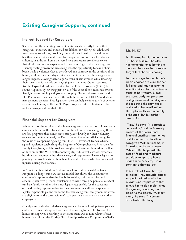## **Existing Caregiver Supports, continued**

#### **Indirect Support for Caregivers**

Services directly benefiting care recipients can also greatly benefit their caregivers. Medicare and Medicaid are lifelines for elderly, disabled, and low-income Americans, providing them with vital health care and home health services that make it easier for people to care for their loved ones at home. In addition, home-delivered meal programs provide a service that eliminates both an expense and time-requiring activity for caregivers. Friendly visiting programs give caregivers the opportunity to take a short break while a volunteer keeps their loved one company in the comfort of the home, while social adult day services and senior centers offer caregivers a longer respite, allowing them to go to work or run errands while knowing their loved one is in a safe and engaging environment. Other resources like the Expanded In-home Services for the Elderly Program (EISEP) help reduce expenses by covering part or all of the costs of non-medical services like light housekeeping and grocery shopping. Home delivered meals and EISEP homecare can be accessed through the network of DFTA-funded case management agencies. Free legal assistance can help seniors at risk of eviction stay in their homes, while the Bill Payer Program trains volunteers to help seniors manage and pay their bills.

#### **Financial Support for Caregivers**

While most of the services available to caregivers are educational in nature or aimed at alleviating the physical and emotional burdens of caregiving, there are few programs that compensate caregivers directly for their voluntary service. At the federal level, the Department of Veterans Affairs recognizes the value of compensating caregivers. In 2010, President Barack Obama signed legislation establishing the Program of Comprehensive Assistance for Family Caregivers, which provides caregivers of veterans injured in the line of duty on or after 9/11 with a monthly stipend, as well as travel expenses, health insurance, mental health services, and respite care. There is legislation pending that would extend these benefits to all veterans who have sustained injuries during their service.

In New York State, Medicaid's Consumer Directed Personal Assistance Program is a long-term care service model that allows the consumer or consumer's representative the flexibility to hire, train, supervise, and schedule their own personal assistants to provide care. The personal assistant can be a family member who is not legally responsible for the consumer or the directing representative for the consumer. In addition, a spouse or legally responsible parent cannot be the paid caregiver. Family members who are eligible to be the care recipient's paid personal assistant may have other employment.

Grandparent and other relative caregivers can become kinship foster parents and receive financial support for the cost of caring for a child. Kinship foster homes are approved according to the same standards as non-relative foster homes. In addition, the Kinship Guardianship Assistance Program (KinGAP)

#### **Mr. H, 57**

Mr. H cares for his mother, who has heart failure. She also has dementia, once burning a meal on the stove because she forgot that she was cooking.

Ten years ago, he quit his job as an engineer to care for her full-time and has not taken a vacation since. Today he keeps track of her weight, blood pressure, body temperature, and glucose level, making sure she is eating the right foods and taking her medications. He is physically and mentally exhausted, but his mother needs him.

"Time," he says, "is a precious commodity," and he is keenly aware of the social and financial sacrifices that he has had to make as a full-time caregiver. Without income, it is hard to make ends meet. While SNAP helps with the cost of food and Medicare provides temporary home health aide services, it is a constant balancing act.

PSS Circle of Care, he says, is a lifeline. They provide diaper support that helps with the budget and respite care that allows him to do simple things like grocery shopping and going to the doctor. "Without them," he says, "I wouldn't have lasted this long.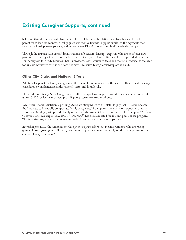## **Existing Caregiver Supports, continued**

helps facilitate the permanent placement of foster children with relatives who have been a child's foster parent for at least six months. Kinship guardians receive financial support similar to the payments they received as kinship foster parents, and in most cases KinGAP covers the child's medical coverage.

Through the Human Resources Administration's job centers, kinship caregivers who are not foster care parents have the right to apply for the Non-Parent Caregiver Grant, a financial benefit provided under the Temporary Aid to Needy Families (TANF) program. Cash Assistance (cash and shelter allowance) is available for kinship caregivers even if one does not have legal custody or guardianship of the child.

#### **Other City, State, and National Efforts**

Additional support for family caregivers in the form of remuneration for the services they provide is being considered or implemented at the national, state, and local levels.

The Credit for Caring Act, a Congressional bill with bipartisan support, would create a federal tax credit of up to \$3,000 for family members providing long-term care to a loved one.

While this federal legislation is pending, states are stepping up to the plate. In July 2017, Hawaii became the first state to financially compensate family caregivers. The Kupuna Caregivers Act, signed into law by Governor David Ige, will provide family caregivers who work at least 30 hours a week with up to \$70 a day to cover home care expenses. A total of \$600,000<sup>29</sup> has been allocated for the first phase of the program.<sup>30</sup> This initiative may serve as an important model for other states and municipalities.

In Washington D.C., the Grandparent Caregiver Program offers low-income residents who are raising grandchildren, great grandchildren, great nieces, or great nephews a monthly subsidy to help care for the children living with them.<sup>31</sup>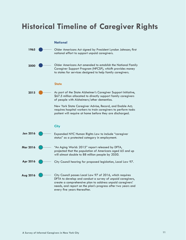## **Historical Timeline of Caregiver Rights**

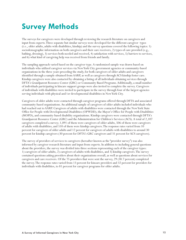## **Survey Methods**

The surveys for caregivers were developed through reviewing the research literature on caregivers and input from experts. Three separate but similar surveys were developed for the different caregiver types (i.e., older adults, adults with disabilities, kinship) and the survey questions covered the following topics: 1) sociodemographic information on both caregivers and their care receivers, 2) types of care provided (e.g., bathing, dressing), 3) services both needed and received, 4) satisfaction with services, 5) barriers to services, and 6) what kind of caregiving help was received from friends and family.

The sampling approach varied based on the caregiver type. A randomized sample was drawn based on individuals who utilized caregiver services via New York City government agencies or community-based organizations in the three years preceding the study, for both caregivers of older adults and caregivers identified through a sample obtained from AARP, as well as caregivers through ACS kinship foster care. Kinship caregivers were also contacted by obtaining a listing of all individuals obtaining services through DFTA's Grandparent Resource Center (GRC) or Community Based Programs. Additionally, a small number of individuals participating in kincare support groups were also invited to complete the survey. Caregivers of individuals with disabilities were invited to participate in the survey through four of the largest agencies serving individuals with physical and/or developmental disabilities in New York City.

Caregivers of older adults were contacted through caregiver programs offered through DFTA and associated community-based organizations. An additional sample of caregivers of older adults included individuals who had reached out to AARP. Caregivers of adults with disabilities were contacted through the New York State Office for People with Developmental Disabilities (OPWDD), the Mayor's Office for People with Disabilities (MOPD), and community-based disability organizations. Kinship caregivers were contacted through DFTA's Grandparent Resource Center (GRC) and the Administration for Children's Services (ACS). A total of 2,107 caregivers completed a survey; 1,091 of them were caregivers of older adults, 506 of them were caregivers of adults with disabilities, and 510 of them were kinship caregivers. The response rates varied from 10 percent for caregivers of older adults and 12 percent for caregivers of adults with disabilities to around 30 percent for kinship caregivers (30 percent for DFTA's GRC caregivers and 31 percent for ACS caregivers).

The survey of providers of services to caregivers (hereafter known as the "provider survey") was also informed by caregiver research literature and input from experts. In addition to including general questions about the providers, the survey was divided into three sections representing each of the caregiver types: 1) caregivers of older adults, 2) caregivers of adults with disabilities, and 3) kinship caregivers. The survey contained questions asking providers about their organizations overall, as well as questions about services for caregivers and care receivers. Of the 75 providers that were sent the survey, 29 (38.7 percent) completed the survey. The response rates varied from 13 percent for kincare providers and 32 percent for providers for individuals with disabilities, to 81 percent for caregiver programs for older adults.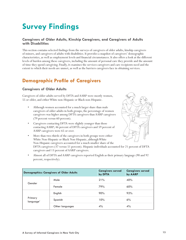## **Survey Findings**

### **Caregivers of Older Adults, Kinship Caregivers, and Caregivers of Adults with Disabilities**

This section contains selected findings from the surveys of caregivers of older adults, kinship caregivers of minors, and caregivers of adults with disabilities. It provides a snapshot of caregivers' demographic characteristics, as well as employment levels and financial circumstances. It also offers a look at the different levels of burden among these caregivers, including the amount of personal care they provide and the amount of time they spend caregiving. Finally, it examines the services caregivers and care recipients need and the extent to which their needs are unmet, as well as the barriers caregivers face in obtaining services.

## **Demographic Profile of Caregivers**

### **Caregivers of Older Adults**

Caregivers of older adults served by DFTA and AARP were mostly women, 55 or older, and either White non-Hispanic or Black non-Hispanic.

- Although women accounted for a much larger share than male caregivers of older adults in both groups, the percentage of women caregivers was higher among DFTA caregivers than AARP caregivers (79 percent versus 60 percent).
- Caregivers contacting DFTA were slightly younger than those contacting AARP; 46 percent of DFTA caregivers and 59 percent of AARP caregivers were 65 or over.
- 
- More than two-thirds of the caregivers in both groups were either White Non-Hispanic or Black Non-Hispanic, although White Non-Hispanic caregivers accounted for a much smaller share of the DFTA caregivers (37 versus 51 percent). Hispanic individuals accounted for 21 percent of DFTA caregivers and 13 percent of AARP caregivers.
- Almost all of DFTA and AARP caregivers reported English as their primary language (90 and 92 percent, respectively).

|                                  | <b>Demographics: Caregivers of Older Adults</b> | <b>Caregivers served</b><br>by DFTA | <b>Caregivers served</b><br>by AARP |
|----------------------------------|-------------------------------------------------|-------------------------------------|-------------------------------------|
| Gender                           | Male                                            | 21%                                 | 40%                                 |
|                                  | Female                                          | 79%                                 | 60%                                 |
| Primary<br>language <sup>1</sup> | English                                         | 90%                                 | 92%                                 |
|                                  | Spanish                                         | 10%                                 | 6%                                  |
|                                  | Other languages                                 | 4%                                  | 4%                                  |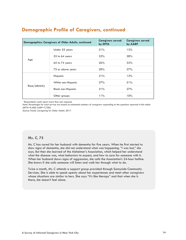|                | Demographics: Caregivers of Older Adults, continued | <b>Caregivers served</b><br>by DFTA | <b>Caregivers served</b><br>by AARP |
|----------------|-----------------------------------------------------|-------------------------------------|-------------------------------------|
|                | Under 55 years                                      | 21%                                 | 13%                                 |
|                | 55 to 64 years                                      | 32%                                 | 28%                                 |
| Age            | 65 to 74 years                                      | 26%                                 | 32%                                 |
|                | 75 or above years                                   | 20%                                 | 27%                                 |
|                | Hispanic                                            | 21%                                 | 13%                                 |
| Race/ethnicity | White non-Hispanic                                  | 37%                                 | 51%                                 |
|                | <b>Black non-Hispanic</b>                           | 31%                                 | 27%                                 |
|                | Other groups                                        | 11%                                 | 10%                                 |

## **Demographic Profile of Caregivers, continued**

<sup>1</sup> Respondents could report more than one response

Note: Percentages for each service are based on estimated numbers of caregivers responding to the questions reported in this table: (DFTA=9,400; AARP=7,700).

Source: Family Caregiving for Older Adults: 2017.

#### **Ms. C, 75**

Ms. C has cared for her husband with dementia for five years. When he first started to show signs of dementia, she did not understand what was happening. "I was lost," she says. But then she learned of the Alzheimer's Association, which helped her understand what the disease was, what behaviors to expect, and how to care for someone with it. When her husband shows signs of aggression, she calls the Association's 24-hour hotline. She knows if she calls someone will listen and walk her through what to do.

Twice a month, Ms. C attends a support group provided through Sunnyside Community Services. She is able to speak openly about her experiences and meet other caregivers whose situations are similar to hers. She says "it's like therapy" and that when she is there, she doesn't feel alone.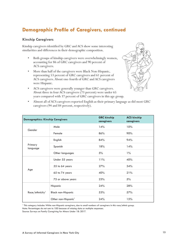## **Demographic Profile of Caregivers, continued**

### **Kinship Caregivers**

Kinship caregivers identified by GRC and ACS show some interesting similarities and differences in their demographic composition.

- Both groups of kinship caregivers were overwhelmingly women, accounting for 86 of GRC caregivers and 90 percent of ACS caregivers.
- More than half of the caregivers were Black Non-Hispanic, representing 53 percent of GRC caregivers and 61 percent of ACS caregivers. About one-fourth of GRC and ACS caregivers were Hispanic.
- 
- ACS caregivers were generally younger than GRC caregivers. About three in four ACS caregivers (73 percent) were under 65 years compared with 37 percent of GRC caregivers in this age group.
- Almost all of ACS caregivers reported English as their primary language as did most GRC caregivers (94 and 84 percent, respectively).

| <b>Demographics: Kinship Caregivers</b> |                                 | <b>GRC</b> kinship<br>caregivers | <b>ACS kinship</b><br>caregivers |
|-----------------------------------------|---------------------------------|----------------------------------|----------------------------------|
| Gender                                  | Male                            | 14%                              | 10%                              |
|                                         | Female                          | 86%                              | 90%                              |
| Primary<br>language                     | English                         | 84%                              | 94%                              |
|                                         | Spanish                         | 18%                              | 14%                              |
|                                         | Other languages                 | 5%                               | $1\%$                            |
| Age                                     | Under 55 years                  | 11%                              | 40%                              |
|                                         | 55 to 64 years                  | 27%                              | 34%                              |
|                                         | 65 to 74 years                  | 40%                              | 21%                              |
|                                         | 75 or above years               | 23%                              | 5%                               |
| Race/ethnicity <sup>1</sup>             | Hispanic                        | 24%                              | 28%                              |
|                                         | <b>Black non-Hispanic</b>       | 53%                              | 57%                              |
|                                         | Other non-Hispanic <sup>1</sup> | 24%                              | 15%                              |

1 This category includes White non-Hispanic caregivers, due to small numbers of caregivers in this race/ethnic group.

Note: Percentages do not sum to 100 because of missing data or multiple responses.

Source: Surveys on Family Caregiving for Minors Under 18: 2017.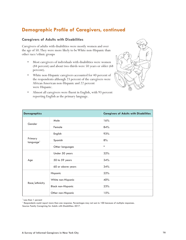## **Demographic Profile of Caregivers, continued**

### **Caregivers of Adults with Disabilities**

Caregivers of adults with disabilities were mostly women and over the age of 50. They were more likely to be White non-Hispanic than other race/ethnic groups

- Most caregivers of individuals with disabilities were women (84 percent) and about two-thirds were 50 years or older (68 percent).
- White non-Hispanic caregivers accounted for 40 percent of the respondents although 23 percent of the caregivers were African American non-Hispanic and 22 percent were Hispanic.
- Almost all caregivers were fluent in English, with 93 percent reporting English as the primary language.



| <b>Demographics</b>              |                           | <b>Caregivers of Adults with Disabilities</b> |
|----------------------------------|---------------------------|-----------------------------------------------|
| Gender                           | Male                      | 16%                                           |
|                                  | Female                    | 84%                                           |
|                                  | English                   | 93%                                           |
| Primary<br>language <sup>1</sup> | Spanish                   | 8%                                            |
|                                  | Other languages           | $\ast$                                        |
| Age                              | Under 50 years            | 32%                                           |
|                                  | 50 to 59 years            | 34%                                           |
|                                  | 60 or above years         | 34%                                           |
|                                  | Hispanic                  | 22%                                           |
| Race/ethnicity                   | White non-Hispanic        | 40%                                           |
|                                  | <b>Black non-Hispanic</b> | 23%                                           |
|                                  | Other non-Hispanic        | 15%                                           |

\* Less than 1 percent

1 Respondents could report more than one response. Percentages may not sum to 100 because of multiple responses. Source: Family Caregiving for Adults with Disabilities: 2017.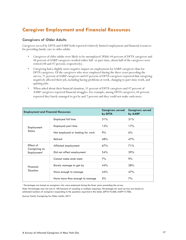## **Caregiver Employment and Financial Resources**

### **Caregivers of Older Adults**

Caregivers served by DFTA and AARP both reported relatively limited employment and financial resources for providing family care to older adults.

- Caregivers of older adults were likely to be unemployed. While 44 percent of DFTA caregivers and 48 percent of AARP caregivers worked either full- or part-time, about half of the caregivers were retired (48 and 47 percent, respectively).
- Caregiving had a slightly more negative impact on employment for AARP caregivers than for DFTA caregivers. Of the caregivers who were employed during the three years preceding the survey, 71 percent of AARP caregivers and 67 percent of DFTA caregivers reported that caregiving negatively affected their job, including having problems at work, changing to part-time work, and quitting jobs.
- When asked about their financial situation, 51 percent of DFTA caregivers and 47 percent of AARP caregivers reported financial struggles. For example, among DFTA caregivers, 44 percent reported they barely managed to get by and 7 percent said they could not make ends meet.

| <b>Employment and Financial Resources</b> |                                  | <b>Caregivers served</b><br>by DFTA | <b>Caregivers served</b><br>by AARP |
|-------------------------------------------|----------------------------------|-------------------------------------|-------------------------------------|
| Employment<br><b>Status</b>               | Employed full time               | 31%                                 | 31%                                 |
|                                           | Employed part time               | 13%                                 | 17%                                 |
|                                           | Not employed or looking for work | 9%                                  | 6%                                  |
|                                           | Retired                          | 48%                                 | 47%                                 |
| Effect of                                 | Affected employment              | 67%                                 | 71%                                 |
| Caregiving on<br>Employment <sup>1</sup>  | Did not affect employment        | 34%                                 | 29%                                 |
|                                           | Cannot make ends meet            | 7%                                  | 9%                                  |
| Financial<br><b>Situation</b>             | Barely manage to get by          | 44%                                 | 38%                                 |
|                                           | Have enough to manage            | 44%                                 | 47%                                 |
|                                           | Have more than enough to manage  | 5%                                  | 7%                                  |

<sup>1</sup> Percentages are based on caregivers who were employed during the three years preceding the survey.

Note: Percentages may not sum to 100 because of rounding or multiple responses. Percentages for each service are based on estimated numbers of caregivers responding to the questions reported in this table: (DFTA=9,400; AARP=7,700).

Source: Family Caregiving for Older Adults: 2017.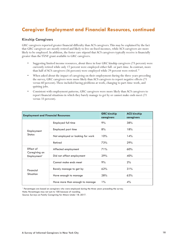## **Caregiver Employment and Financial Resources, continued**

#### **Kinship Caregivers**

GRC caregivers reported greater financial difficulty than ACS caregivers. This may be explained by the fact that GRC caregivers are mostly retired and likely to live on fixed incomes, while ACS caregivers are more likely to be employed. In addition, the foster care stipend that ACS caregivers typically receive is financially greater than the TANF grant available to GRC caregivers.

- Suggesting limited income resources, about three in four GRC kinship caregivers (73 percent) were currently retired while only 17 percent were employed either full- or part-time. In contrast, more than half of ACS caregivers (56 percent) were employed while 29 percent were retired. $32$
- When asked about the impact of caregiving on their employment during the three years preceding the survey, GRC caregivers were more likely than ACS caregivers to report negative effects (71 versus 60 percent). These included having problems at work, changing to part-time work, and quitting jobs.
- Consistent with employment patterns, GRC caregivers were more likely than ACS caregivers to report financial situations in which they barely manage to get by or cannot make ends meet (71 versus 33 percent).

| <b>Employment and Financial Resources</b> |                                  | <b>GRC</b> kinship<br>caregivers | <b>ACS kinship</b><br>caregivers |
|-------------------------------------------|----------------------------------|----------------------------------|----------------------------------|
| Employment<br><b>Status</b>               | Employed full time               | 9%                               | 38%                              |
|                                           | Employed part time               | 8%                               | 18%                              |
|                                           | Not employed or looking for work | 10%                              | 14%                              |
|                                           | Retired                          | 73%                              | 29%                              |
| Effect of                                 | Affected employment              | 71%                              | 60%                              |
| Caregiving on<br>Employment <sup>1</sup>  | Did not affect employment        | 29%                              | 40%                              |
|                                           | Cannot make ends meet            | 9%                               | 2%                               |
| Financial<br>Situation                    | Barely manage to get by          | 62%                              | 31%                              |
|                                           | Have enough to manage            | 28%                              | 63%                              |
|                                           | Have more than enough to manage  | $1\%$                            | $4\%$                            |

1 Percentages are based on caregivers who were employed during the three years preceding the survey.

Note: Percentages may not sum to 100 because of rounding.

Source: Surveys on Family Caregiving for Minors Under 18: 2017.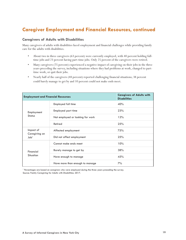## **Caregiver Employment and Financial Resources, continued**

#### **Caregivers of Adults with Disabilities**

Many caregivers of adults with disabilities faced employment and financial challenges while providing family care for the adults with disabilities.

- About two in three caregivers (63 percent) were currently employed, with 40 percent holding fulltime jobs and 23 percent having part-time jobs. Only 25 percent of the caregivers were retired.
- Many caregivers (75 percent) experienced a negative impact of caregiving on their jobs in the three years preceding the survey, including situations where they had problems at work, changed to parttime work, or quit their jobs.
- Nearly half of the caregivers (48 percent) reported challenging financial situations; 38 percent could barely manage to get by and 10 percent could not make ends meet.

| <b>Caregivers of Adults with</b><br><b>Employment and Financial Resources</b><br><b>Disabilities</b> |                                  |     |
|------------------------------------------------------------------------------------------------------|----------------------------------|-----|
| Employment<br><b>Status</b>                                                                          | Employed full time               | 40% |
|                                                                                                      | Employed part time               | 23% |
|                                                                                                      | Not employed or looking for work | 12% |
|                                                                                                      | Retired                          | 25% |
| Impact of                                                                                            | Affected employment              | 75% |
| Caregiving on<br>Job <sup>1</sup>                                                                    | Did not affect employment        | 25% |
|                                                                                                      | Cannot make ends meet            | 10% |
| Financial                                                                                            | Barely manage to get by          | 38% |
| Situation                                                                                            | Have enough to manage            | 45% |
|                                                                                                      | Have more than enough to manage  | 7%  |

1 Percentages are based on caregivers who were employed during the three years preceding the survey. Source: Family Caregiving for Adults with Disabilities: 2017.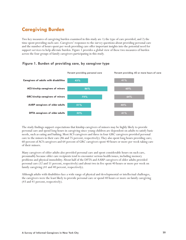## **Caregiving Burden**

Two key measures of caregiving burden examined in this study are 1) the type of care provided, and 2) the time spent providing such care. Caregivers' responses to the survey questions about providing personal care and the number of hours spent per week providing care offer important insights into the potential need for support services to help alleviate burden. Figure 1 provides a global view of these two measures of burden across the four groups of family caregivers participating in this study.





The study findings support expectations that kinship caregivers of minors may be highly likely to provide personal care and spend long hours in caregiving since young children are dependent on adults to satisfy basic needs, such as eating and bathing. Most ACS caregivers and three in four GRC caregivers provided personal care to the minors in their care (86 and 75 percent, respectively). They also spent long hours providing care; 60 percent of ACS caregivers and 64 percent of GRC caregivers spent 40 hours or more per week taking care of their minors.

Many caregivers of older adults also provided personal care and spent considerable hours on such care, presumably because older care recipients tend to encounter serious health issues, including memory problems and physical immobility. About half of the DFTA and AARP caregivers of older adults provided personal care (52 and 51 percent, respectively) and about two in five spent 40 hours or more per week on family caregiving  $(41 \text{ and } 40 \text{ percent}, \text{respectively}).$ 

Although adults with disabilities face a wide range of physical and developmental or intellectual challenges, the caregivers were the least likely to provide personal care or spend 40 hours or more on family caregiving (43 and 41 percent, respectively).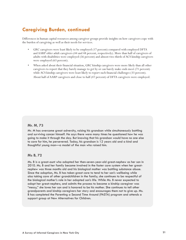## **Caregiving Burden, continued**

Differences in human capital resources among caregiver groups provide insights on how caregivers cope with the burden of caregiving as well as their needs for services.

- GRC caregivers were least likely to be employed (17 percent) compared with employed DFTA and AARP older adult caregivers (44 and 48 percent, respectively). More than half of caregivers of adults with disabilities were employed (56 percent) and almost two-thirds of ACS kinship caregivers were employed (63 percent).
- When asked about their financial situation, GRC kinship caregivers were more likely than all other caregivers to report that they barely manage to get by or can barely make ends meet (71 percent) while ACS kinship caregivers were least likely to report such financial challenges (33 percent). About half of AARP caregivers and close to half (47 percent) of DFTA caregivers were employed.

#### **Mr. M, 73**

Mr. M has overcome great adversity, raising his grandson while simultaneously battling and surviving cancer himself. He says there were many times he questioned how he was going to make it through the day. But knowing that his grandson would have no one else to care for him, he persevered. Today, his grandson is 12 years old and a kind and thoughtful young man—a model of the man who raised him.

#### **Ms B, 72**

Ms. B is a great-aunt who adopted her then-seven-year-old great-nephew as her son in 2010. Ms. B and her family became involved in the foster care system when her greatnephew was three months old and his biological mother was battling substance abuse. Since the adoption, Ms. B has taken great care to tend to her son's wellbeing while also taking care of other grandchildren in the family; she continues to be respectful of the biological mother's role in her adopted son's life. While Ms. B never expected to adopt her great-nephew, and admits the process to become a kinship caregiver was "messy," she loves her son and is honored to be his mother. She continues to tell other grandparents and kinship caregivers her story and encourages them not to give up. Ms. B has completed the Parenting a Second Time Around (PASTA) program and attends a support group at New Alternatives for Children.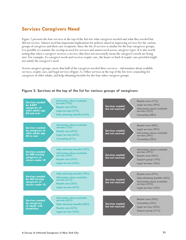## **Services Caregivers Need**

Figure 2 presents the four services at the top of the lists for what caregivers needed and what they needed but did not receive. Unmet need has important implications for policies aimed at improving services for the various groups of caregivers and their care recipients. Since the list of services is similar for the four caregivers groups, it is possible to examine the overlap in need for services and unmet need across caregiver types. It is also worth noting that when a caregiver receives a service, that does not necessarily mean the caregiver's needs are being met. For example, if a caregiver needs and receives respite care, the hours or kind of respite care provided might not satisfy the caregiver's need.

Across caregiver groups, more than half of the caregivers needed three services—information about available services, respite care, and legal services (Figure 2). Other services at the top of the list were counseling for caregivers of older adults, and help obtaining benefits for the four other caregiver groups.



#### **Figure 2. Services at the top of the list for various groups of caregivers**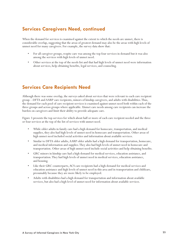## **Services Caregivers Need, continued**

When the demand for services is examined against the extent to which the needs are unmet, there is considerable overlap, suggesting that the areas of greatest demand may also be the areas with high levels of unmet need for many caregivers. For example, the survey data show that:

- For all caregiver groups, respite care was among the top four services in demand but it was also among the services with high levels of unmet need.
- Other services at the top of the needs list and that had high levels of unmet need were information about services, help obtaining benefits, legal services, and counseling.

## **Services Care Recipients Need**

Although there was some overlap, the surveys asked about services that were relevant to each care recipient group—DFTA and AARP care recipients, minors of kinship caregivers, and adults with disabilities. Thus, the demand for each pool of care-recipient services is examined against unmet need both within each of the three groups and across groups where applicable. Unmet care needs among care recipients can increase the burden on caregivers and limit their ability to provide adequate care.

Figure 3 presents the top services for which about half or more of each care recipient needed and the three or four services at the top of the list of services with unmet need.

- While older adults in family care had a high demand for homecare, transportation, and medical supplies, they also had high levels of unmet need in homecare and transportation. Other areas of high unmet need included social activities and information about available services.
- Similar to DFTA older adults, AARP older adults had a high demand for transportation, homecare, and medical information and supplies. They also had high levels of unmet need in homecare and transportation. Other areas of high unmet need include social activities and help obtaining benefits.
- GRC minors in kinship care had a high demand for medical services, education assistance, and transportation. They had high levels of unmet need in medical services, education assistance, and housing.
- Like their GRC counterparts, ACS care recipients had a high demand for medical services and education assistance and high levels of unmet need in this area and in transportation and childcare, presumably because they are more likely to be employed.
- Adults with disabilities had a high demand for transportation and information about available services, but also had a high level of unmet need for information about available services.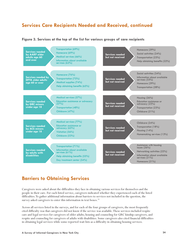## **Services Care Recipients Needed and Received, continued**



### **Figure 3. Services at the top of the list for various groups of care recipients**

## **Barriers to Obtaining Services**

Caregivers were asked about the difficulties they face in obtaining various services for themselves and the people in their care. For each listed service, caregivers indicated whether they experienced each of the listed difficulties. To gather additional information about barriers to services not included in the question, the survey asked caregivers to enter this information in text boxes.<sup>33</sup>

Across all services listed in the surveys, and for each of the four groups of caregivers, the most frequently cited difficulty was that caregivers did not know if the service was available. These services included respite care and legal services for caregivers of older adults; housing and counseling for GRC kinship caregivers, and respite and counseling for caregivers of adults with disabilities. Some caregivers also cited financial difficulties in obtaining legal services while some reported wait lists as a difficulty in obtaining housing services.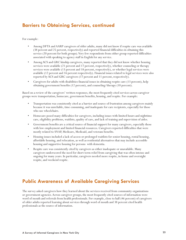## **Barriers to Obtaining Services, continued**

For example:

- Among DFTA and AARP caregivers of older adults, many did not know if respite care was available (38 percent and 25 percent, respectively) and reported financial difficulties in obtaining this service (20 percent for both groups). Very few respondents from either group reported difficulties associated with speaking to agency staff in English for any service.
- Among ACS and GRC kinship caregivers, many reported that they did not know whether housing services were available (21 percent and 17 percent, respectively), whether counseling or therapy services were available (13 percent and 18 percent, respectively), or whether legal services were available (12 percent and 16 percent respectively). Financial issues related to legal services were also reported by ACS and GRC caregivers (17 percent and 11 percent, respectively).
- Caregivers for adults with disabilities financial issues in obtaining respite care (13 percent), help obtaining government benefits (12 percent), and counseling/therapy (10 percent).

Based on a review of the caregivers' written responses, the most frequently cited services across caregiver groups were transportation, homecare, government benefits, housing, and respite. For example:

- Transportation was consistently cited as a barrier and source of frustration among caregivers mainly because it was unreliable, time consuming, and inadequate for care recipients, especially for those who use wheelchairs.
- Homecare posed many difficulties for caregivers, including issues with limited hours and nighttime care, eligibility problems, waitlists, quality of care, and lack of training and supervision of aides.
- Government benefits are a critical source of financial support for many caregivers, especially those with low employment and limited financial resources. Caregivers reported difficulties that were mostly related to SNAP, Medicare, Medicaid, and veterans benefits.
- Housing issues included a lack of access or prolonged waitlists for senior housing, rental housing, affordable housing, and relocation, as well as residential alternatives that may include accessible housing and supportive housing for persons with dementia.
- Respite care was consistently cited by caregivers as either inadequate or unavailable. Many caregivers underscored the need for short-term relief from caregiving that was often intense and ongoing for many years. In particular, caregivers needed more respite, in-home and overnight respite, and weekend respite.

## **Public Awareness of Available Caregiving Services**

The survey asked caregivers how they learned about the services received from community organizations or government agencies. Across caregiver groups, the most frequently cited sources of information were word of mouth and referrals from health professionals. For example, close to half (46 percent) of caregivers of older adults reported learning about services through word of mouth and 38 percent cited health professionals as the source of information.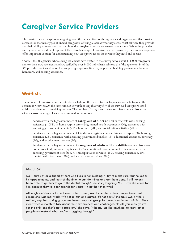## **Caregiver Service Providers**

The provider survey explores caregiving from the perspectives of the agencies and organizations that provide services for the three types of unpaid caregivers, offering a look at who they serve, what services they provide and their ability to meet demand, and how the caregivers they serve learned about them. While the provider survey respondents do not represent the entire landscape of caregiver service providers, their survey responses offer important context for understanding how caregivers access the services they need and receive.

Overall, the 36 agencies whose caregiver clients participated in the survey serve about 111,000 caregivers and/or their care recipients and are staffed by over 9,000 individuals. Almost all of the agencies (34 of the 36) provide direct services such as support groups, respite care, help with obtaining government benefits, homecare, and housing assistance.

## **Waitlists**

The number of caregivers on waitlists sheds a light on the extent to which agencies are able to meet the demand for services. At the same time, it is worth noting that very few of the surveyed caregivers listed waitlists as a barrier to receiving services. The number of caregivers or care recipients on waitlists varied widely across the range of services examined in the survey.

- Services with the highest numbers of **caregivers of older adults** on waitlists were housing assistance (1,055), in-home respite care (434), mental health treatment (300), assistance with accessing government benefits (215), homecare (203) and socialization activities (200).
- Services with the highest numbers of **kinship caregivers** on waitlists were respite (60), housing assistance (28), assistance with accessing government benefits (19), educational assistance/advocacy (10), and employment services (10).
- Services with the highest numbers of **caregivers of adults with disabilities** on waitlists were homecare (375), in-home respite care (325), educational programming (303), assistance with accessing government benefits (271), transportation services (250), housing assistance (210), mental health treatment (208), and socialization activities (200).

#### **Ms. J, 67**

Ms. J cares after a friend of hers who lives in her building. "I try to make sure that he keeps his appointments, and most of the time he can do things and get them done. I still haven't been able to get him to go to the dentist though," she says, laughing. Ms. J says she cares for him because they've been friends for years—if not her, then who?

Although she's happy to be there for her friend, Ms. J says she wishes people knew that caregiving was real work. "It's not all fun and games. It's not easy," she says. Ms. J, who is retired, says her saving grace has been a support group for caregivers in her building. They meet twice a month to talk about their experiences and challenges. "It lets you know you're not the only one that's got a problem," she says. "It helps, just like anything, to know other people understand what you're struggling through."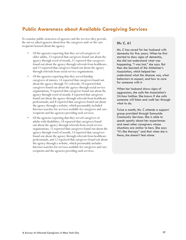## **Public Awareness about Available Caregiving Services**

To examine public awareness of agencies and the services they provide, the survey asked agencies about how the caregivers and/or the care recipients learned about the agency.

- Of the agencies reporting that they served caregivers of older adults, 23 reported that caregivers found out about the agency through word of mouth, 21 reported that caregivers found out about the agency through referrals from healthcare, and 21 reported that caregivers found out about the agency through referrals from social service organizations.
- Of the agencies reporting that they served kinship caregivers of minors, 14 reported that caregivers found out about the agency through 311 referrals, 10 reported that caregivers found out about the agency through social service organizations, 9 reported that caregivers found out about the agency through word of mouth, 8 reported that caregivers found out about the agency through referrals from healthcare professionals, and 8 reported that caregivers found out about the agency through a website, which presumably included Internet searches for services available for caregivers and care recipients and the agencies providing such services.
- Of the agencies reporting that they served caregivers of adults with disabilities, 18 reported that caregivers found out about the agency through referrals from social service organizations, 15 reported that caregivers found out about the agency through word of mouth, 13 reported that caregivers found out about the agency through referrals from healthcare professionals, and 12 reported that caregivers found out about the agency through a website, which presumably includes Internet searches for services available for caregivers and care recipients and the agencies providing such services.

#### **Ms C, 61**

Ms. C has cared for her husband with dementia for five years. When he first started to show signs of dementia, she did not understand what was happening. "I was lost," she says. But then she learned of the Alzheimer's Association, which helped her understand what the disease was, what behaviors to expect, and how to care for someone with it.

When her husband shows signs of aggression, she calls the Association's 24-hour hotline. She knows if she calls someone will listen and walk her through what to do.

Twice a month, Ms. C attends a support group provided through Sunnyside Community Services. She is able to speak openly about her experiences and meet other caregivers whose situations are similar to hers. She says "it's like therapy" and that when she is there, she doesn't feel alone.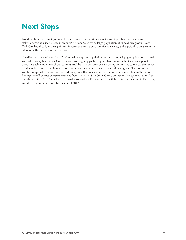## **Next Steps**

Based on the survey findings, as well as feedback from multiple agencies and input from advocates and stakeholders, the City believes more must be done to serve its large population of unpaid caregivers. New York City has already made significant investments to support caregiver services, and is poised to be a leader in addressing the burdens caregivers face.

The diverse nature of New York City's unpaid caregiver population means that no City agency is wholly tasked with addressing their needs. Conversations with agency partners point to clear ways the City can support these invaluable members of our community. The City will convene a steering committee to review the survey results in detail and make informed recommendations to better serve its unpaid caregivers. The committee will be composed of issue-specific working groups that focus on areas of unmet need identified in the survey findings. It will consist of representatives from DFTA, ACS, MOPD, OMB, and other City agencies, as well as members of the City Council and external stakeholders. The committee will hold its first meeting in Fall 2017, and share recommendations by the end of 2017.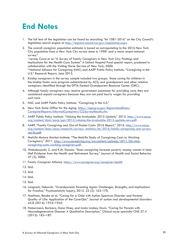## **End Notes**

- 1. The full text of the legislation can be found by searching "Int 1081-2016" on the City Council's legislation search engine at <http://legistar.council.nyc.gov/Legislation.aspx>.
- 2. The overall caregiver population estimate is based on extrapolating to the 2016 New York City population from a New York City survey done in 1998<sup>°</sup> and a more recent national survey.<sup>b</sup>

a Levine, Carol et al. "A Survey of Family Caregivers in New York City: Findings and Implications for the Health Care System" A United Hospital Fund special report, produced in collaboration with the Visiting Nurse Service of New York, 2000.

**b National Alliance for Caregiving (NAC) and AARP Public Policy Institute. "Caregiving in the** U.S." Research Report, June 2015.

- 3. Kinship caregivers in the survey sample included two groups: those caring for children in the kinship foster care program administered by ACS; and grandparent and other relative caregivers identified through the DFTA-funded Grandparent Resource Center (GRC).
- 4. Although family caregivers may receive government assistance for providing care, they are considered unpaid caregivers because they are not paid hourly wages for providing such care.
- 5. NAC and AARP Public Policy Institute. "Caregiving in the U.S."
- 6. New York State Office for the Aging. [https://aging.ny.gov/ReportsAndData/](https://aging.ny.gov/ReportsAndData/CaregiverReports/InformalCaregivers/CGSurveyResults.cfm) [CaregiverReports/InformalCaregivers/CGSurveyResults.cfm.](https://aging.ny.gov/ReportsAndData/CaregiverReports/InformalCaregivers/CGSurveyResults.cfm)
- 7. AARP Public Policy Institute. "Valuing the Invaluable: 2015 Update," 2015. [http://www.aarp.](http://www.aarp.org/content/dam/aarp/ppi/2015/valuing-the-invaluable-2015-update-new.pdf ) [org/content/dam/aarp/ppi/2015/valuing-the-invaluable-2015-update-new.pdf.](http://www.aarp.org/content/dam/aarp/ppi/2015/valuing-the-invaluable-2015-update-new.pdf )
- 8. AARP. "Family Caregiving and Out-of-Pocket Costs: 2016 Report," 2016. [http://www.aarp.](http://www.aarp.org/content/dam/aarp/research/surveys_statistics/ltc/2016/family-caregiving-cost-survey-res-ltc.pdf) [org/content/dam/aarp/research/surveys\\_statistics/ltc/2016/family-caregiving-cost-survey](http://www.aarp.org/content/dam/aarp/research/surveys_statistics/ltc/2016/family-caregiving-cost-survey-res-ltc.pdf)[res-ltc.pdf](http://www.aarp.org/content/dam/aarp/research/surveys_statistics/ltc/2016/family-caregiving-cost-survey-res-ltc.pdf).
- 9. MetLife Mature Market Institute. "The MetLife Study of Caregiving Costs to Working Caregivers," 2011. [http://www.caregiving.org/wp-content/uploads/2011/06/mmi](http://www.caregiving.org/wp-content/uploads/2011/06/mmi-caregiving-costs-working-caregivers.pdf )[caregiving-costs-working-caregivers.pdf](http://www.caregiving.org/wp-content/uploads/2011/06/mmi-caregiving-costs-working-caregivers.pdf ).
- 10. Wakabayashi, C. and K.M. Donato. "Does caregiving increase poverty among women in later life? Evidence from the Health and Retirement Survey," Journal of Health and Social Behavior 47 (3), 2006.
- 11. Family Caregiver Alliance. https://www.caregiver.org/caregiver-health
- 12. Ibid.
- 13. Ibid.
- 14. Ibid.
- 15. Ibid.
- 16. Langosch, Deborah. "Grandparents Parenting Again: Challenges, Strengths, and Implications for Practice," Psychoanalytic Inquiry, 2012. 32 (2): 163-170.
- 17. Hoefman, Renske et al. "Caring for a Child with Autism Spectrum Disorder and Parents' Quality of Life: Application of the CarerQol." Journal of autism and developmental disorders 44.8 (2014): 1933–1945.
- 18. Habermann, Barbara, Dana Hines, and Linda Lindsey Davis. "Caring for Parents with Neurodegenerative Disease: A Qualitative Description." Clinical nurse specialist CNS 27.4 (2013): 182–187.